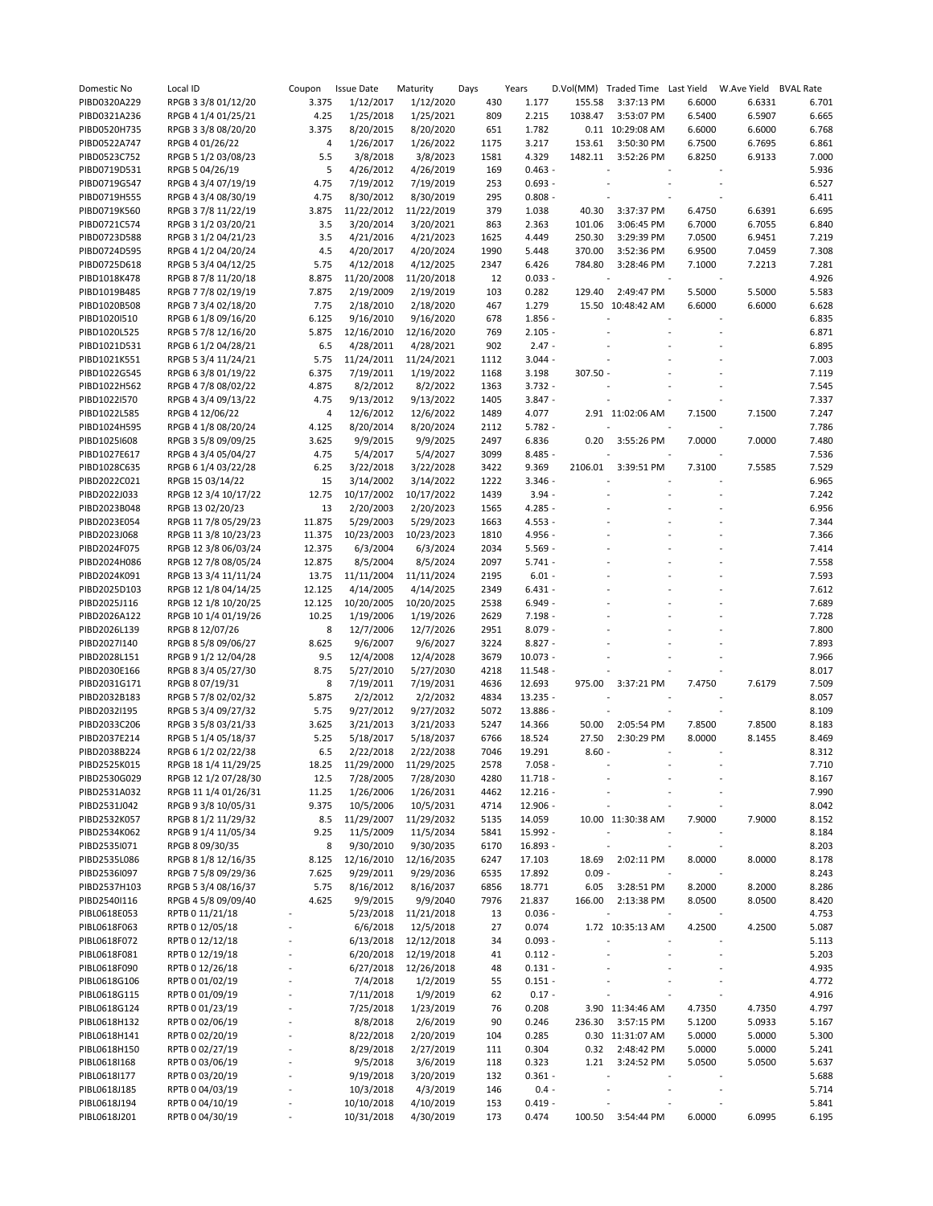| Domestic No  | Local ID             | Coupon                   | <b>Issue Date</b>     | Maturity   | Days | Years            |          | D.Vol(MM) Traded Time Last Yield |                          | W.Ave Yield | <b>BVAL Rate</b> |
|--------------|----------------------|--------------------------|-----------------------|------------|------|------------------|----------|----------------------------------|--------------------------|-------------|------------------|
| PIBD0320A229 | RPGB 3 3/8 01/12/20  | 3.375                    | 1/12/2017             | 1/12/2020  | 430  | 1.177            | 155.58   | 3:37:13 PM                       | 6.6000                   | 6.6331      | 6.701            |
| PIBD0321A236 | RPGB 4 1/4 01/25/21  | 4.25                     | 1/25/2018             | 1/25/2021  | 809  | 2.215            | 1038.47  | 3:53:07 PM                       | 6.5400                   | 6.5907      | 6.665            |
| PIBD0520H735 | RPGB 3 3/8 08/20/20  | 3.375                    | 8/20/2015             | 8/20/2020  | 651  | 1.782            |          | 0.11 10:29:08 AM                 | 6.6000                   | 6.6000      | 6.768            |
| PIBD0522A747 | RPGB 4 01/26/22      | 4                        | 1/26/2017             | 1/26/2022  | 1175 | 3.217            | 153.61   | 3:50:30 PM                       | 6.7500                   | 6.7695      | 6.861            |
| PIBD0523C752 | RPGB 5 1/2 03/08/23  | 5.5                      | 3/8/2018              | 3/8/2023   | 1581 | 4.329            | 1482.11  | 3:52:26 PM                       | 6.8250                   | 6.9133      | 7.000            |
| PIBD0719D531 | RPGB 5 04/26/19      | 5                        | 4/26/2012             | 4/26/2019  | 169  | $0.463 -$        |          |                                  |                          |             | 5.936            |
| PIBD0719G547 | RPGB 4 3/4 07/19/19  | 4.75                     | 7/19/2012             | 7/19/2019  | 253  | $0.693 -$        |          |                                  |                          |             | 6.527            |
| PIBD0719H555 | RPGB 4 3/4 08/30/19  | 4.75                     | 8/30/2012             | 8/30/2019  | 295  | $0.808 -$        |          |                                  |                          |             | 6.411            |
| PIBD0719K560 | RPGB 3 7/8 11/22/19  | 3.875                    | 11/22/2012            | 11/22/2019 | 379  | 1.038            | 40.30    | 3:37:37 PM                       | 6.4750                   | 6.6391      | 6.695            |
| PIBD0721C574 | RPGB 3 1/2 03/20/21  | 3.5                      | 3/20/2014             | 3/20/2021  | 863  | 2.363            | 101.06   | 3:06:45 PM                       | 6.7000                   | 6.7055      | 6.840            |
| PIBD0723D588 | RPGB 3 1/2 04/21/23  | 3.5                      | 4/21/2016             | 4/21/2023  | 1625 | 4.449            | 250.30   | 3:29:39 PM                       | 7.0500                   | 6.9451      | 7.219            |
| PIBD0724D595 | RPGB 4 1/2 04/20/24  | 4.5                      | 4/20/2017             | 4/20/2024  | 1990 | 5.448            | 370.00   | 3:52:36 PM                       | 6.9500                   | 7.0459      | 7.308            |
| PIBD0725D618 | RPGB 5 3/4 04/12/25  | 5.75                     | 4/12/2018             | 4/12/2025  | 2347 | 6.426            | 784.80   | 3:28:46 PM                       | 7.1000                   | 7.2213      | 7.281            |
| PIBD1018K478 | RPGB 8 7/8 11/20/18  | 8.875                    | 11/20/2008            | 11/20/2018 | 12   | $0.033 -$        |          |                                  |                          |             | 4.926            |
| PIBD1019B485 | RPGB 7 7/8 02/19/19  | 7.875                    | 2/19/2009             | 2/19/2019  | 103  | 0.282            | 129.40   | 2:49:47 PM                       | 5.5000                   | 5.5000      | 5.583            |
| PIBD1020B508 | RPGB 7 3/4 02/18/20  | 7.75                     | 2/18/2010             | 2/18/2020  | 467  | 1.279            |          | 15.50 10:48:42 AM                | 6.6000                   | 6.6000      | 6.628            |
| PIBD1020I510 | RPGB 6 1/8 09/16/20  | 6.125                    | 9/16/2010             | 9/16/2020  | 678  | $1.856 -$        |          |                                  |                          |             | 6.835            |
| PIBD1020L525 | RPGB 5 7/8 12/16/20  | 5.875                    | 12/16/2010            | 12/16/2020 | 769  | $2.105 -$        |          |                                  |                          |             | 6.871            |
| PIBD1021D531 | RPGB 6 1/2 04/28/21  | 6.5                      | 4/28/2011             | 4/28/2021  | 902  | $2.47 -$         |          |                                  |                          |             | 6.895            |
| PIBD1021K551 | RPGB 5 3/4 11/24/21  | 5.75                     | 11/24/2011            | 11/24/2021 | 1112 | $3.044 -$        |          |                                  |                          |             | 7.003            |
| PIBD1022G545 | RPGB 6 3/8 01/19/22  | 6.375                    | 7/19/2011             | 1/19/2022  | 1168 | 3.198            | 307.50 - |                                  |                          |             | 7.119            |
| PIBD1022H562 | RPGB 4 7/8 08/02/22  | 4.875                    | 8/2/2012              | 8/2/2022   | 1363 | $3.732 -$        |          |                                  |                          |             | 7.545            |
| PIBD1022I570 | RPGB 4 3/4 09/13/22  | 4.75                     | 9/13/2012             | 9/13/2022  | 1405 | $3.847 -$        |          |                                  |                          |             | 7.337            |
| PIBD1022L585 | RPGB 4 12/06/22      | 4                        | 12/6/2012             | 12/6/2022  | 1489 | 4.077            |          | 2.91 11:02:06 AM                 | 7.1500                   | 7.1500      | 7.247            |
| PIBD1024H595 | RPGB 4 1/8 08/20/24  | 4.125                    | 8/20/2014             | 8/20/2024  | 2112 | $5.782 -$        |          |                                  |                          |             | 7.786            |
| PIBD1025I608 | RPGB 3 5/8 09/09/25  | 3.625                    | 9/9/2015              | 9/9/2025   | 2497 | 6.836            | 0.20     | 3:55:26 PM                       | 7.0000                   | 7.0000      | 7.480            |
| PIBD1027E617 | RPGB 4 3/4 05/04/27  | 4.75                     | 5/4/2017              | 5/4/2027   | 3099 | 8.485 -          |          |                                  |                          |             | 7.536            |
| PIBD1028C635 | RPGB 6 1/4 03/22/28  | 6.25                     | 3/22/2018             | 3/22/2028  | 3422 | 9.369            | 2106.01  | 3:39:51 PM                       | 7.3100                   | 7.5585      | 7.529            |
| PIBD2022C021 | RPGB 15 03/14/22     | 15                       | 3/14/2002             | 3/14/2022  | 1222 | $3.346 -$        |          |                                  |                          |             | 6.965            |
| PIBD2022J033 | RPGB 12 3/4 10/17/22 | 12.75                    | 10/17/2002            | 10/17/2022 | 1439 | $3.94 -$         |          |                                  |                          |             | 7.242            |
| PIBD2023B048 | RPGB 13 02/20/23     | 13                       | 2/20/2003             | 2/20/2023  | 1565 | $4.285 -$        |          |                                  |                          |             | 6.956            |
| PIBD2023E054 | RPGB 11 7/8 05/29/23 | 11.875                   | 5/29/2003             | 5/29/2023  | 1663 | $4.553 -$        |          |                                  |                          |             | 7.344            |
| PIBD2023J068 | RPGB 11 3/8 10/23/23 | 11.375                   | 10/23/2003            | 10/23/2023 | 1810 | 4.956 -          |          |                                  |                          |             | 7.366            |
| PIBD2024F075 | RPGB 12 3/8 06/03/24 | 12.375                   | 6/3/2004              | 6/3/2024   | 2034 | $5.569 -$        |          |                                  |                          |             | 7.414            |
| PIBD2024H086 | RPGB 12 7/8 08/05/24 | 12.875                   | 8/5/2004              | 8/5/2024   | 2097 | $5.741 -$        |          |                                  |                          |             | 7.558            |
| PIBD2024K091 | RPGB 13 3/4 11/11/24 | 13.75                    | 11/11/2004            | 11/11/2024 | 2195 | $6.01 -$         |          |                                  |                          |             | 7.593            |
| PIBD2025D103 | RPGB 12 1/8 04/14/25 | 12.125                   | 4/14/2005             | 4/14/2025  | 2349 | $6.431 -$        |          |                                  |                          |             | 7.612            |
| PIBD2025J116 | RPGB 12 1/8 10/20/25 | 12.125                   | 10/20/2005            | 10/20/2025 | 2538 | $6.949 -$        |          |                                  |                          |             | 7.689            |
| PIBD2026A122 | RPGB 10 1/4 01/19/26 | 10.25                    | 1/19/2006             | 1/19/2026  | 2629 | $7.198 -$        |          |                                  |                          |             | 7.728            |
| PIBD2026L139 | RPGB 8 12/07/26      | 8                        | 12/7/2006             | 12/7/2026  | 2951 | $8.079 -$        |          |                                  |                          |             | 7.800            |
| PIBD2027I140 | RPGB 8 5/8 09/06/27  | 8.625                    | 9/6/2007              | 9/6/2027   | 3224 | $8.827 -$        |          |                                  |                          |             | 7.893            |
| PIBD2028L151 | RPGB 9 1/2 12/04/28  | 9.5                      | 12/4/2008             | 12/4/2028  | 3679 | $10.073 -$       |          |                                  |                          |             | 7.966            |
| PIBD2030E166 | RPGB 8 3/4 05/27/30  | 8.75                     | 5/27/2010             | 5/27/2030  | 4218 | $11.548 -$       |          |                                  |                          |             | 8.017            |
| PIBD2031G171 | RPGB 8 07/19/31      | 8                        | 7/19/2011             | 7/19/2031  | 4636 | 12.693           | 975.00   | 3:37:21 PM                       | 7.4750                   | 7.6179      | 7.509            |
| PIBD2032B183 | RPGB 5 7/8 02/02/32  | 5.875                    | 2/2/2012              | 2/2/2032   | 4834 | $13.235 -$       |          |                                  |                          |             | 8.057            |
| PIBD2032I195 | RPGB 5 3/4 09/27/32  | 5.75                     | 9/27/2012             | 9/27/2032  | 5072 | 13.886 -         |          |                                  |                          |             | 8.109            |
| PIBD2033C206 | RPGB 3 5/8 03/21/33  | 3.625                    | 3/21/2013             | 3/21/2033  | 5247 | 14.366           | 50.00    | 2:05:54 PM                       | 7.8500                   | 7.8500      | 8.183            |
| PIBD2037E214 | RPGB 5 1/4 05/18/37  | 5.25                     | 5/18/2017             | 5/18/2037  | 6766 | 18.524           | 27.50    | 2:30:29 PM                       | 8.0000                   | 8.1455      | 8.469            |
| PIBD2038B224 | RPGB 6 1/2 02/22/38  | 6.5                      | 2/22/2018             | 2/22/2038  | 7046 | 19.291           | $8.60 -$ |                                  | $\overline{\phantom{a}}$ |             | 8.312            |
| PIBD2525K015 | RPGB 18 1/4 11/29/25 | 18.25                    | 11/29/2000            | 11/29/2025 | 2578 | $7.058 -$        |          |                                  |                          |             | 7.710            |
| PIBD2530G029 | RPGB 12 1/2 07/28/30 | 12.5                     | 7/28/2005             | 7/28/2030  | 4280 | $11.718 -$       |          |                                  |                          |             | 8.167            |
| PIBD2531A032 | RPGB 11 1/4 01/26/31 | 11.25                    | 1/26/2006             | 1/26/2031  | 4462 | $12.216 -$       |          |                                  |                          |             | 7.990            |
| PIBD2531J042 | RPGB 9 3/8 10/05/31  | 9.375                    | 10/5/2006             | 10/5/2031  | 4714 | $12.906 -$       |          |                                  |                          |             | 8.042            |
| PIBD2532K057 | RPGB 8 1/2 11/29/32  | 8.5                      | 11/29/2007            | 11/29/2032 | 5135 | 14.059           |          | 10.00 11:30:38 AM                | 7.9000                   | 7.9000      | 8.152            |
| PIBD2534K062 | RPGB 9 1/4 11/05/34  | 9.25                     | 11/5/2009             | 11/5/2034  | 5841 | 15.992 -         |          |                                  |                          |             | 8.184            |
| PIBD2535I071 | RPGB 8 09/30/35      | 8                        | 9/30/2010             | 9/30/2035  | 6170 | $16.893 -$       |          |                                  |                          |             | 8.203            |
| PIBD2535L086 | RPGB 8 1/8 12/16/35  | 8.125                    | 12/16/2010            | 12/16/2035 | 6247 | 17.103           | 18.69    | 2:02:11 PM                       | 8.0000                   | 8.0000      | 8.178            |
| PIBD2536I097 | RPGB 7 5/8 09/29/36  | 7.625                    | 9/29/2011             | 9/29/2036  | 6535 | 17.892           | $0.09 -$ |                                  |                          |             | 8.243            |
| PIBD2537H103 |                      | 5.75                     |                       |            |      |                  |          |                                  | 8.2000                   | 8.2000      | 8.286            |
| PIBD2540I116 | RPGB 5 3/4 08/16/37  | 4.625                    | 8/16/2012<br>9/9/2015 | 8/16/2037  | 6856 | 18.771<br>21.837 | 6.05     | 3:28:51 PM                       |                          |             | 8.420            |
|              | RPGB 4 5/8 09/09/40  |                          |                       | 9/9/2040   | 7976 | $0.036 -$        | 166.00   | 2:13:38 PM                       | 8.0500                   | 8.0500      | 4.753            |
| PIBL0618E053 | RPTB 0 11/21/18      |                          | 5/23/2018             | 11/21/2018 | 13   |                  |          |                                  |                          |             |                  |
| PIBL0618F063 | RPTB 0 12/05/18      |                          | 6/6/2018              | 12/5/2018  | 27   | 0.074            |          | 1.72 10:35:13 AM                 | 4.2500                   | 4.2500      | 5.087            |
| PIBL0618F072 | RPTB 0 12/12/18      |                          | 6/13/2018             | 12/12/2018 | 34   | $0.093 -$        |          |                                  |                          |             | 5.113            |
| PIBL0618F081 | RPTB 0 12/19/18      |                          | 6/20/2018             | 12/19/2018 | 41   | $0.112 -$        |          |                                  |                          |             | 5.203            |
| PIBL0618F090 | RPTB 0 12/26/18      |                          | 6/27/2018             | 12/26/2018 | 48   | $0.131 -$        |          |                                  |                          |             | 4.935            |
| PIBL0618G106 | RPTB 0 01/02/19      |                          | 7/4/2018              | 1/2/2019   | 55   | $0.151 -$        |          |                                  |                          |             | 4.772            |
| PIBL0618G115 | RPTB 0 01/09/19      |                          | 7/11/2018             | 1/9/2019   | 62   | $0.17 -$         |          |                                  |                          |             | 4.916            |
| PIBL0618G124 | RPTB 0 01/23/19      | $\overline{\phantom{a}}$ | 7/25/2018             | 1/23/2019  | 76   | 0.208            |          | 3.90 11:34:46 AM                 | 4.7350                   | 4.7350      | 4.797            |
| PIBL0618H132 | RPTB 0 02/06/19      |                          | 8/8/2018              | 2/6/2019   | 90   | 0.246            | 236.30   | 3:57:15 PM                       | 5.1200                   | 5.0933      | 5.167            |
| PIBL0618H141 | RPTB 0 02/20/19      |                          | 8/22/2018             | 2/20/2019  | 104  | 0.285            |          | 0.30 11:31:07 AM                 | 5.0000                   | 5.0000      | 5.300            |
| PIBL0618H150 | RPTB 0 02/27/19      |                          | 8/29/2018             | 2/27/2019  | 111  | 0.304            |          | 0.32 2:48:42 PM                  | 5.0000                   | 5.0000      | 5.241            |
| PIBL0618I168 | RPTB 0 03/06/19      |                          | 9/5/2018              | 3/6/2019   | 118  | 0.323            |          | 1.21 3:24:52 PM                  | 5.0500                   | 5.0500      | 5.637            |
| PIBL0618I177 | RPTB 0 03/20/19      |                          | 9/19/2018             | 3/20/2019  | 132  | $0.361 -$        |          |                                  |                          |             | 5.688            |
| PIBL0618J185 | RPTB 0 04/03/19      |                          | 10/3/2018             | 4/3/2019   | 146  | $0.4 -$          |          |                                  |                          |             | 5.714            |
| PIBL0618J194 | RPTB 0 04/10/19      |                          | 10/10/2018            | 4/10/2019  | 153  | $0.419 -$        |          |                                  |                          |             | 5.841            |
| PIBL0618J201 | RPTB 0 04/30/19      |                          | 10/31/2018            | 4/30/2019  | 173  | 0.474            | 100.50   | 3:54:44 PM                       | 6.0000                   | 6.0995      | 6.195            |